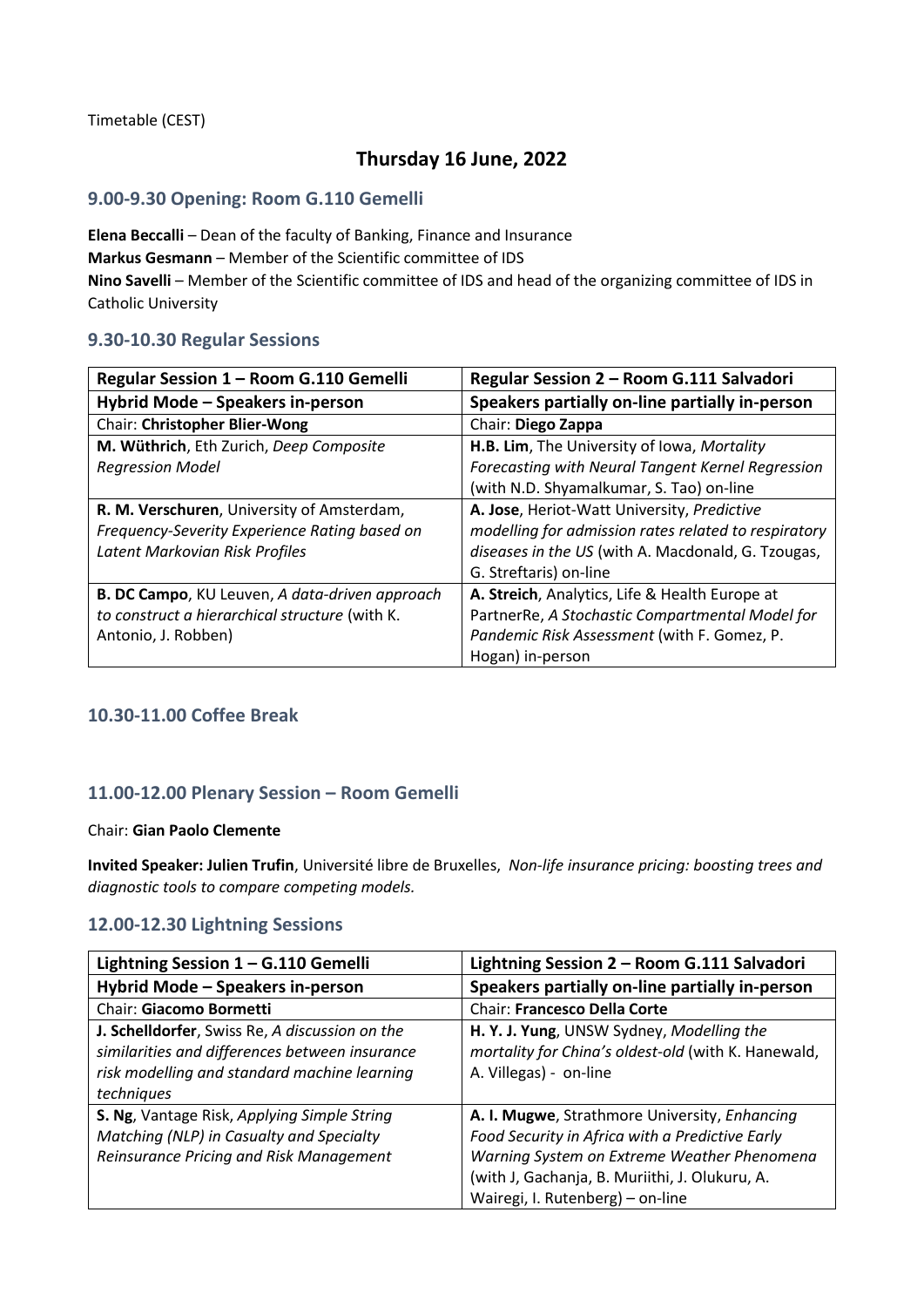Timetable (CEST)

## **Thursday 16 June, 2022**

### **9.00-9.30 Opening: Room G.110 Gemelli**

**Elena Beccalli** – Dean of the faculty of Banking, Finance and Insurance **Markus Gesmann** – Member of the Scientific committee of IDS **Nino Savelli** – Member of the Scientific committee of IDS and head of the organizing committee of IDS in Catholic University

### **9.30-10.30 Regular Sessions**

| Regular Session 1 - Room G.110 Gemelli         | Regular Session 2 - Room G.111 Salvadori             |
|------------------------------------------------|------------------------------------------------------|
| Hybrid Mode - Speakers in-person               | Speakers partially on-line partially in-person       |
| <b>Chair: Christopher Blier-Wong</b>           | Chair: Diego Zappa                                   |
| M. Wüthrich, Eth Zurich, Deep Composite        | H.B. Lim, The University of Iowa, Mortality          |
| <b>Regression Model</b>                        | Forecasting with Neural Tangent Kernel Regression    |
|                                                | (with N.D. Shyamalkumar, S. Tao) on-line             |
| R. M. Verschuren, University of Amsterdam,     | A. Jose, Heriot-Watt University, Predictive          |
| Frequency-Severity Experience Rating based on  | modelling for admission rates related to respiratory |
| Latent Markovian Risk Profiles                 | diseases in the US (with A. Macdonald, G. Tzougas,   |
|                                                | G. Streftaris) on-line                               |
| B. DC Campo, KU Leuven, A data-driven approach | A. Streich, Analytics, Life & Health Europe at       |
| to construct a hierarchical structure (with K. | PartnerRe, A Stochastic Compartmental Model for      |
| Antonio, J. Robben)                            | Pandemic Risk Assessment (with F. Gomez, P.          |
|                                                | Hogan) in-person                                     |

## **10.30-11.00 Coffee Break**

## **11.00-12.00 Plenary Session – Room Gemelli**

#### Chair: **Gian Paolo Clemente**

**Invited Speaker: Julien Trufin**, Université libre de Bruxelles, *Non-life insurance pricing: boosting trees and diagnostic tools to compare competing models.*

### **12.00-12.30 Lightning Sessions**

| Lightning Session 1 - G.110 Gemelli                                                                                                                            | Lightning Session 2 - Room G.111 Salvadori                                                                                                                                                                                            |
|----------------------------------------------------------------------------------------------------------------------------------------------------------------|---------------------------------------------------------------------------------------------------------------------------------------------------------------------------------------------------------------------------------------|
| Hybrid Mode - Speakers in-person                                                                                                                               | Speakers partially on-line partially in-person                                                                                                                                                                                        |
| Chair: Giacomo Bormetti                                                                                                                                        | Chair: Francesco Della Corte                                                                                                                                                                                                          |
| J. Schelldorfer, Swiss Re, A discussion on the<br>similarities and differences between insurance<br>risk modelling and standard machine learning<br>techniques | H. Y. J. Yung, UNSW Sydney, Modelling the<br>mortality for China's oldest-old (with K. Hanewald,<br>A. Villegas) - on-line                                                                                                            |
| S. Ng, Vantage Risk, Applying Simple String<br>Matching (NLP) in Casualty and Specialty<br>Reinsurance Pricing and Risk Management                             | A. I. Mugwe, Strathmore University, Enhancing<br>Food Security in Africa with a Predictive Early<br>Warning System on Extreme Weather Phenomena<br>(with J, Gachanja, B. Muriithi, J. Olukuru, A.<br>Wairegi, I. Rutenberg) – on-line |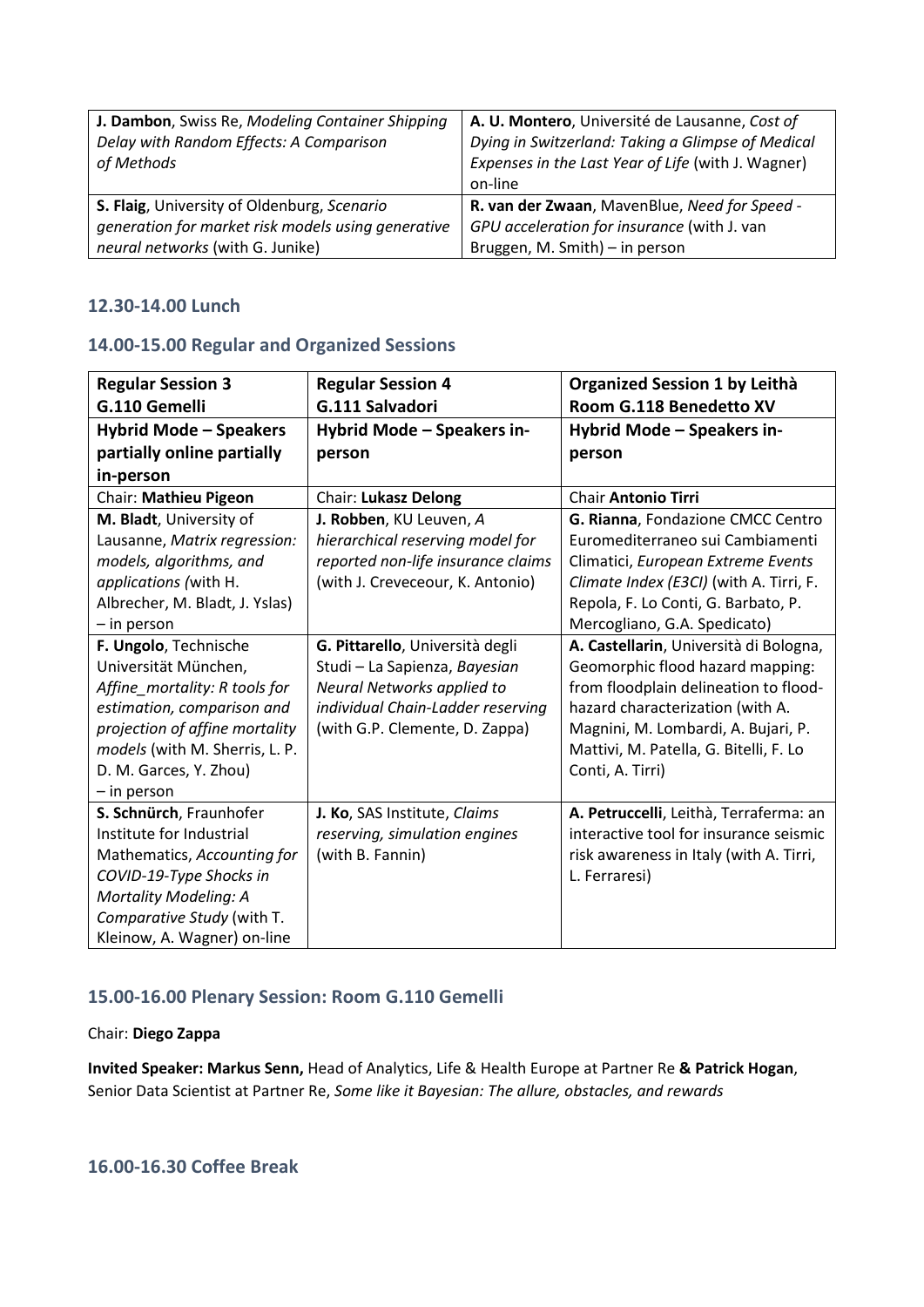| J. Dambon, Swiss Re, Modeling Container Shipping   | A. U. Montero, Université de Lausanne, Cost of     |
|----------------------------------------------------|----------------------------------------------------|
| Delay with Random Effects: A Comparison            | Dying in Switzerland: Taking a Glimpse of Medical  |
| of Methods                                         | Expenses in the Last Year of Life (with J. Wagner) |
|                                                    | on-line                                            |
| S. Flaig, University of Oldenburg, Scenario        | R. van der Zwaan, MavenBlue, Need for Speed -      |
| generation for market risk models using generative | GPU acceleration for insurance (with J. van        |
| neural networks (with G. Junike)                   | Bruggen, M. Smith) - in person                     |

## **12.30-14.00 Lunch**

### **14.00-15.00 Regular and Organized Sessions**

| <b>Regular Session 3</b>       | <b>Regular Session 4</b>           | Organized Session 1 by Leithà           |
|--------------------------------|------------------------------------|-----------------------------------------|
| G.110 Gemelli                  | G.111 Salvadori                    | Room G.118 Benedetto XV                 |
| Hybrid Mode - Speakers         | Hybrid Mode - Speakers in-         | Hybrid Mode - Speakers in-              |
| partially online partially     | person                             | person                                  |
| in-person                      |                                    |                                         |
| Chair: Mathieu Pigeon          | <b>Chair: Lukasz Delong</b>        | <b>Chair Antonio Tirri</b>              |
| M. Bladt, University of        | J. Robben, KU Leuven, A            | G. Rianna, Fondazione CMCC Centro       |
| Lausanne, Matrix regression:   | hierarchical reserving model for   | Euromediterraneo sui Cambiamenti        |
| models, algorithms, and        | reported non-life insurance claims | Climatici, European Extreme Events      |
| applications (with H.          | (with J. Creveceour, K. Antonio)   | Climate Index (E3CI) (with A. Tirri, F. |
| Albrecher, M. Bladt, J. Yslas) |                                    | Repola, F. Lo Conti, G. Barbato, P.     |
| - in person                    |                                    | Mercogliano, G.A. Spedicato)            |
| F. Ungolo, Technische          | G. Pittarello, Università degli    | A. Castellarin, Università di Bologna,  |
| Universität München,           | Studi - La Sapienza, Bayesian      | Geomorphic flood hazard mapping:        |
| Affine mortality: R tools for  | Neural Networks applied to         | from floodplain delineation to flood-   |
| estimation, comparison and     | individual Chain-Ladder reserving  | hazard characterization (with A.        |
| projection of affine mortality | (with G.P. Clemente, D. Zappa)     | Magnini, M. Lombardi, A. Bujari, P.     |
| models (with M. Sherris, L. P. |                                    | Mattivi, M. Patella, G. Bitelli, F. Lo  |
| D. M. Garces, Y. Zhou)         |                                    | Conti, A. Tirri)                        |
| - in person                    |                                    |                                         |
| S. Schnürch, Fraunhofer        | J. Ko, SAS Institute, Claims       | A. Petruccelli, Leithà, Terraferma: an  |
| Institute for Industrial       | reserving, simulation engines      | interactive tool for insurance seismic  |
| Mathematics, Accounting for    | (with B. Fannin)                   | risk awareness in Italy (with A. Tirri, |
| COVID-19-Type Shocks in        |                                    | L. Ferraresi)                           |
| Mortality Modeling: A          |                                    |                                         |
| Comparative Study (with T.     |                                    |                                         |
| Kleinow, A. Wagner) on-line    |                                    |                                         |

## **15.00-16.00 Plenary Session: Room G.110 Gemelli**

#### Chair: **Diego Zappa**

**Invited Speaker: Markus Senn,** Head of Analytics, Life & Health Europe at Partner Re **& Patrick Hogan**, Senior Data Scientist at Partner Re, *Some like it Bayesian: The allure, obstacles, and rewards*

## **16.00-16.30 Coffee Break**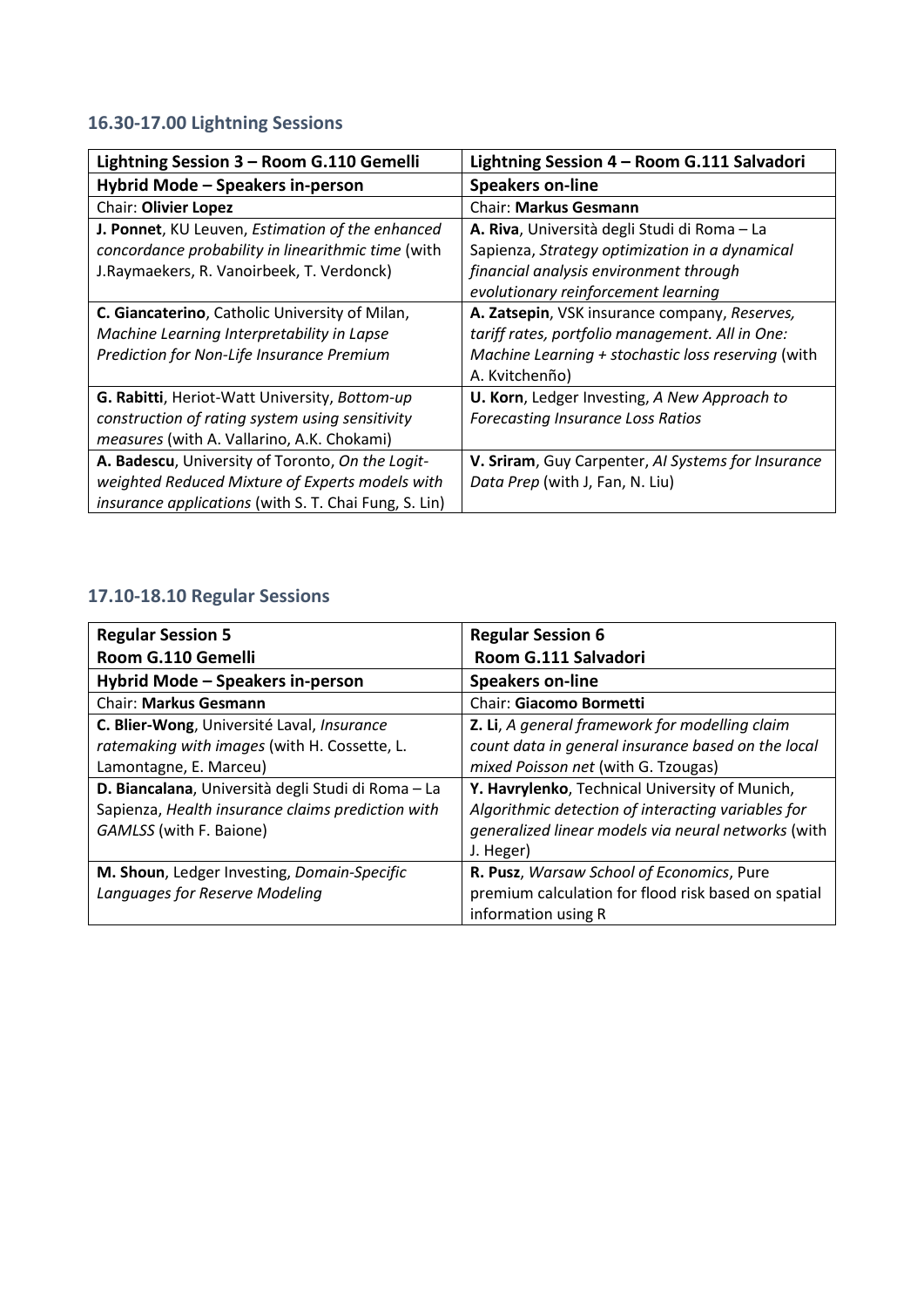# **16.30-17.00 Lightning Sessions**

| Lightning Session 3 - Room G.110 Gemelli                     | Lightning Session 4 - Room G.111 Salvadori         |
|--------------------------------------------------------------|----------------------------------------------------|
| Hybrid Mode - Speakers in-person                             | <b>Speakers on-line</b>                            |
| Chair: Olivier Lopez                                         | <b>Chair: Markus Gesmann</b>                       |
| J. Ponnet, KU Leuven, Estimation of the enhanced             | A. Riva, Università degli Studi di Roma - La       |
| concordance probability in linearithmic time (with           | Sapienza, Strategy optimization in a dynamical     |
| J.Raymaekers, R. Vanoirbeek, T. Verdonck)                    | financial analysis environment through             |
|                                                              | evolutionary reinforcement learning                |
| C. Giancaterino, Catholic University of Milan,               | A. Zatsepin, VSK insurance company, Reserves,      |
| Machine Learning Interpretability in Lapse                   | tariff rates, portfolio management. All in One:    |
| Prediction for Non-Life Insurance Premium                    | Machine Learning + stochastic loss reserving (with |
|                                                              | A. Kvitchenño)                                     |
| G. Rabitti, Heriot-Watt University, Bottom-up                | U. Korn, Ledger Investing, A New Approach to       |
| construction of rating system using sensitivity              | <b>Forecasting Insurance Loss Ratios</b>           |
| measures (with A. Vallarino, A.K. Chokami)                   |                                                    |
| A. Badescu, University of Toronto, On the Logit-             | V. Sriram, Guy Carpenter, AI Systems for Insurance |
| weighted Reduced Mixture of Experts models with              | Data Prep (with J, Fan, N. Liu)                    |
| <i>insurance applications</i> (with S. T. Chai Fung, S. Lin) |                                                    |

# **17.10-18.10 Regular Sessions**

| <b>Regular Session 5</b>                           | <b>Regular Session 6</b>                            |
|----------------------------------------------------|-----------------------------------------------------|
| Room G.110 Gemelli                                 | Room G.111 Salvadori                                |
| Hybrid Mode - Speakers in-person                   | <b>Speakers on-line</b>                             |
| <b>Chair: Markus Gesmann</b>                       | Chair: Giacomo Bormetti                             |
| C. Blier-Wong, Université Laval, Insurance         | Z. Li, A general framework for modelling claim      |
| ratemaking with images (with H. Cossette, L.       | count data in general insurance based on the local  |
| Lamontagne, E. Marceu)                             | mixed Poisson net (with G. Tzougas)                 |
| D. Biancalana, Università degli Studi di Roma - La | Y. Havrylenko, Technical University of Munich,      |
| Sapienza, Health insurance claims prediction with  | Algorithmic detection of interacting variables for  |
| GAMLSS (with F. Baione)                            | generalized linear models via neural networks (with |
|                                                    | J. Heger)                                           |
| M. Shoun, Ledger Investing, Domain-Specific        | R. Pusz, Warsaw School of Economics, Pure           |
| Languages for Reserve Modeling                     | premium calculation for flood risk based on spatial |
|                                                    | information using R                                 |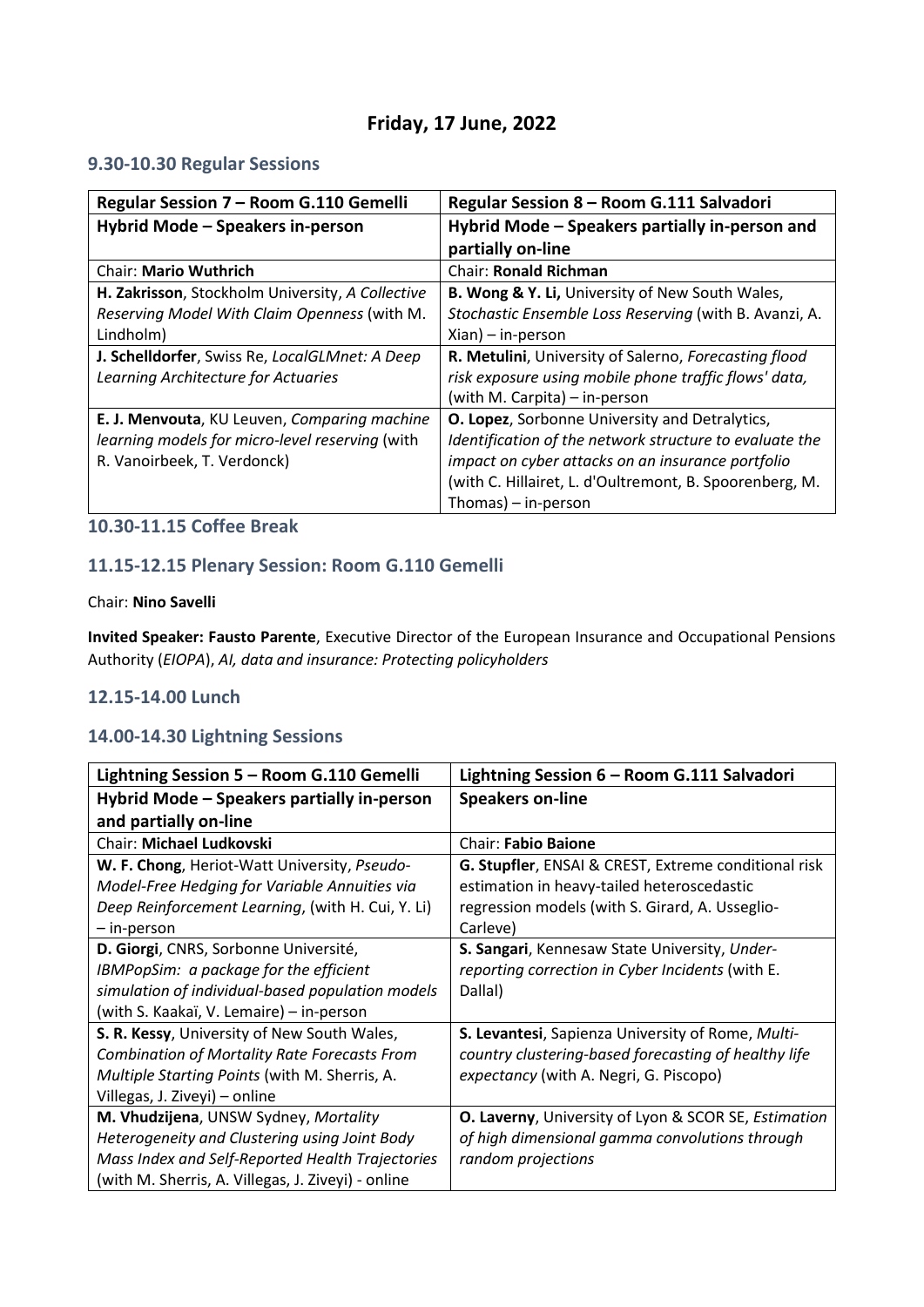# **Friday, 17 June, 2022**

## **9.30-10.30 Regular Sessions**

| Regular Session 7 - Room G.110 Gemelli           | Regular Session 8 - Room G.111 Salvadori                |
|--------------------------------------------------|---------------------------------------------------------|
| Hybrid Mode - Speakers in-person                 | Hybrid Mode - Speakers partially in-person and          |
|                                                  | partially on-line                                       |
| <b>Chair: Mario Wuthrich</b>                     | <b>Chair: Ronald Richman</b>                            |
| H. Zakrisson, Stockholm University, A Collective | B. Wong & Y. Li, University of New South Wales,         |
| Reserving Model With Claim Openness (with M.     | Stochastic Ensemble Loss Reserving (with B. Avanzi, A.  |
| Lindholm)                                        | $Xian$ ) – in-person                                    |
| J. Schelldorfer, Swiss Re, LocalGLMnet: A Deep   | R. Metulini, University of Salerno, Forecasting flood   |
| Learning Architecture for Actuaries              | risk exposure using mobile phone traffic flows' data,   |
|                                                  | (with M. Carpita) – in-person                           |
| E. J. Menvouta, KU Leuven, Comparing machine     | <b>O. Lopez</b> , Sorbonne University and Detralytics,  |
| learning models for micro-level reserving (with  | Identification of the network structure to evaluate the |
| R. Vanoirbeek, T. Verdonck)                      | impact on cyber attacks on an insurance portfolio       |
|                                                  | (with C. Hillairet, L. d'Oultremont, B. Spoorenberg, M. |
|                                                  | Thomas) $-$ in-person                                   |

## **10.30-11.15 Coffee Break**

# **11.15-12.15 Plenary Session: Room G.110 Gemelli**

### Chair: **Nino Savelli**

**Invited Speaker: Fausto Parente**, Executive Director of the European Insurance and Occupational Pensions Authority (*EIOPA*), *AI, data and insurance: Protecting policyholders*

## **12.15-14.00 Lunch**

### **14.00-14.30 Lightning Sessions**

| Lightning Session 5 - Room G.110 Gemelli            | Lightning Session 6 - Room G.111 Salvadori           |
|-----------------------------------------------------|------------------------------------------------------|
| Hybrid Mode – Speakers partially in-person          | <b>Speakers on-line</b>                              |
| and partially on-line                               |                                                      |
| Chair: Michael Ludkovski                            | <b>Chair: Fabio Baione</b>                           |
| W. F. Chong, Heriot-Watt University, Pseudo-        | G. Stupfler, ENSAI & CREST, Extreme conditional risk |
| Model-Free Hedging for Variable Annuities via       | estimation in heavy-tailed heteroscedastic           |
| Deep Reinforcement Learning, (with H. Cui, Y. Li)   | regression models (with S. Girard, A. Usseglio-      |
| - in-person                                         | Carleve)                                             |
| D. Giorgi, CNRS, Sorbonne Université,               | S. Sangari, Kennesaw State University, Under-        |
| IBMPopSim: a package for the efficient              | reporting correction in Cyber Incidents (with E.     |
| simulation of individual-based population models    | Dallal)                                              |
| (with S. Kaakaï, V. Lemaire) - in-person            |                                                      |
| S. R. Kessy, University of New South Wales,         | S. Levantesi, Sapienza University of Rome, Multi-    |
| <b>Combination of Mortality Rate Forecasts From</b> | country clustering-based forecasting of healthy life |
| Multiple Starting Points (with M. Sherris, A.       | expectancy (with A. Negri, G. Piscopo)               |
| Villegas, J. Ziveyi) – online                       |                                                      |
| M. Vhudzijena, UNSW Sydney, Mortality               | O. Laverny, University of Lyon & SCOR SE, Estimation |
| Heterogeneity and Clustering using Joint Body       | of high dimensional gamma convolutions through       |
| Mass Index and Self-Reported Health Trajectories    | random projections                                   |
| (with M. Sherris, A. Villegas, J. Ziveyi) - online  |                                                      |